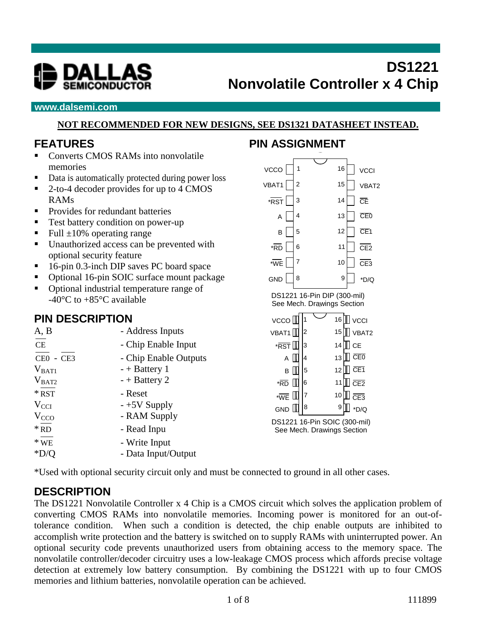

#### **www.dalsemi.com**

#### **NOT RECOMMENDED FOR NEW DESIGNS, SEE DS1321 DATASHEET INSTEAD.**

#### **FEATURES**

- Converts CMOS RAMs into nonvolatile memories
- Data is automatically protected during power loss
- 2-to-4 decoder provides for up to 4 CMOS RAMs
- **Provides for redundant batteries**
- Test battery condition on power-up
- Full  $\pm 10\%$  operating range
- Unauthorized access can be prevented with optional security feature
- 16-pin 0.3-inch DIP saves PC board space
- Optional 16-pin SOIC surface mount package
- Optional industrial temperature range of -40 $^{\circ}$ C to +85 $^{\circ}$ C available

### **PIN DESCRIPTION**

| A, B             | - Address Inputs      | <b>VB</b> |
|------------------|-----------------------|-----------|
| CE               | - Chip Enable Input   | ۰j        |
| $CE0 - CE3$      | - Chip Enable Outputs |           |
| $V_{BAT1}$       | $- +$ Battery 1       |           |
| $V_{BAT2}$       | $-+$ Battery 2        | ×         |
| $*$ RST          | - Reset               | $\star$   |
| $V_{\text{CCI}}$ | $-+5V$ Supply         | G         |
| V <sub>CCO</sub> | - RAM Supply          |           |
| $*$ RD           | - Read Inpu           | DS,<br>S  |
| $*$ WE           | - Write Input         |           |
| $*D/Q$           | - Data Input/Output   |           |

## **PIN ASSIGNMENT**



\*Used with optional security circuit only and must be connected to ground in all other cases.

## **DESCRIPTION**

The DS1221 Nonvolatile Controller x 4 Chip is a CMOS circuit which solves the application problem of converting CMOS RAMs into nonvolatile memories. Incoming power is monitored for an out-oftolerance condition. When such a condition is detected, the chip enable outputs are inhibited to accomplish write protection and the battery is switched on to supply RAMs with uninterrupted power. An optional security code prevents unauthorized users from obtaining access to the memory space. The nonvolatile controller/decoder circuitry uses a low-leakage CMOS process which affords precise voltage detection at extremely low battery consumption. By combining the DS1221 with up to four CMOS memories and lithium batteries, nonvolatile operation can be achieved.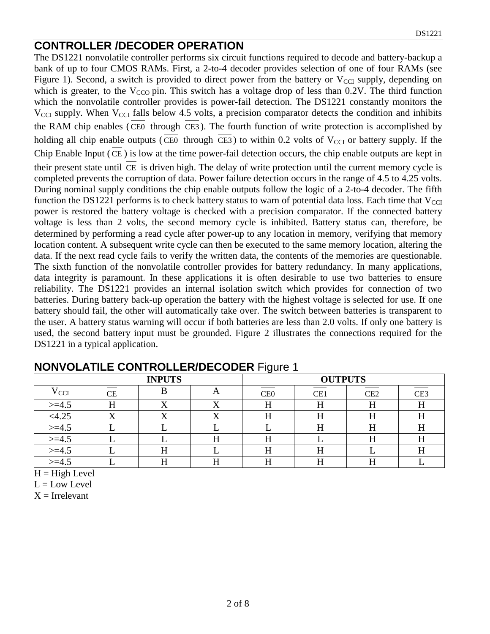## **CONTROLLER /DECODER OPERATION**

The DS1221 nonvolatile controller performs six circuit functions required to decode and battery-backup a bank of up to four CMOS RAMs. First, a 2-to-4 decoder provides selection of one of four RAMs (see Figure 1). Second, a switch is provided to direct power from the battery or  $V_{\text{CCI}}$  supply, depending on which is greater, to the  $V_{\text{CCO}}$  pin. This switch has a voltage drop of less than 0.2V. The third function which the nonvolatile controller provides is power-fail detection. The DS1221 constantly monitors the  $V_{\text{CCI}}$  supply. When  $V_{\text{CCI}}$  falls below 4.5 volts, a precision comparator detects the condition and inhibits the RAM chip enables ( CE0 through CE3 ). The fourth function of write protection is accomplished by holding all chip enable outputs (CE0 through CE3) to within 0.2 volts of  $V_{\text{CCI}}$  or battery supply. If the Chip Enable Input ( CE ) is low at the time power-fail detection occurs, the chip enable outputs are kept in their present state until CE is driven high. The delay of write protection until the current memory cycle is completed prevents the corruption of data. Power failure detection occurs in the range of 4.5 to 4.25 volts. During nominal supply conditions the chip enable outputs follow the logic of a 2-to-4 decoder. The fifth function the DS1221 performs is to check battery status to warn of potential data loss. Each time that  $V_{\text{CCI}}$ power is restored the battery voltage is checked with a precision comparator. If the connected battery voltage is less than 2 volts, the second memory cycle is inhibited. Battery status can, therefore, be determined by performing a read cycle after power-up to any location in memory, verifying that memory location content. A subsequent write cycle can then be executed to the same memory location, altering the data. If the next read cycle fails to verify the written data, the contents of the memories are questionable. The sixth function of the nonvolatile controller provides for battery redundancy. In many applications, data integrity is paramount. In these applications it is often desirable to use two batteries to ensure reliability. The DS1221 provides an internal isolation switch which provides for connection of two batteries. During battery back-up operation the battery with the highest voltage is selected for use. If one battery should fail, the other will automatically take over. The switch between batteries is transparent to the user. A battery status warning will occur if both batteries are less than 2.0 volts. If only one battery is used, the second battery input must be grounded. Figure 2 illustrates the connections required for the DS1221 in a typical application.

|           | <b>INPUTS</b> |  |  | <b>OUTPUTS</b>  |     |     |                 |
|-----------|---------------|--|--|-----------------|-----|-----|-----------------|
| V CCI     | CЕ            |  |  | CE <sub>0</sub> | CE1 | CE2 | CE <sub>3</sub> |
| $>=4.5$   |               |  |  |                 | п   |     |                 |
| <4.25     |               |  |  | п               | п   |     |                 |
| $>=4.5$   |               |  |  |                 |     | 11  | IJ              |
| $>=1.5$   |               |  |  |                 |     |     |                 |
| $>=4.5$   |               |  |  |                 |     |     | IJ              |
| $> = 4.5$ |               |  |  |                 |     |     |                 |

## **NONVOLATILE CONTROLLER/DECODER** Figure 1

 $H = High Level$ 

 $L = Low Level$ 

 $X =$  Irrelevant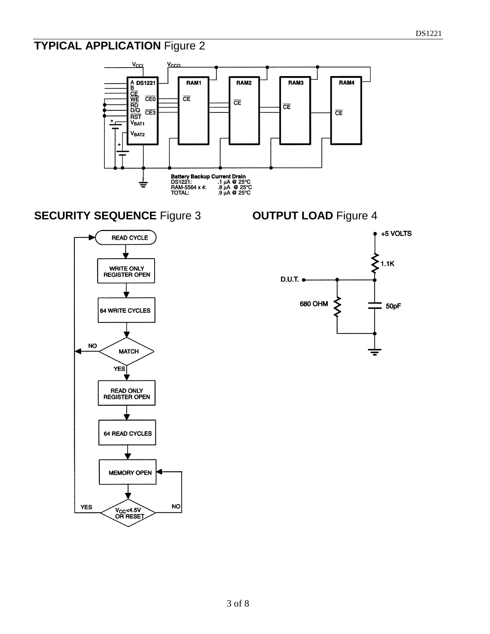# **TYPICAL APPLICATION** Figure 2

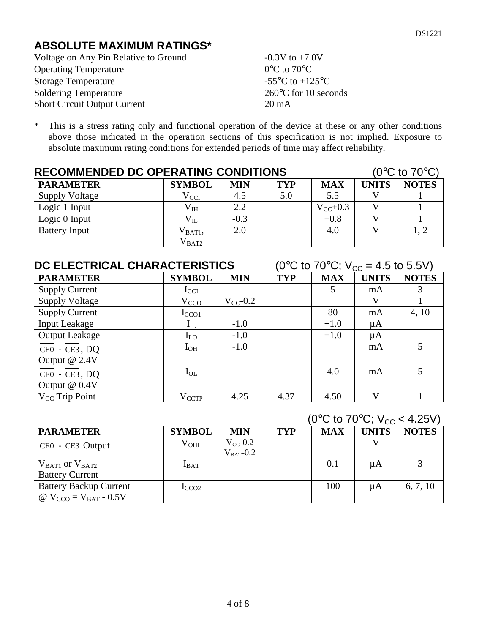## **ABSOLUTE MAXIMUM RATINGS\***

Voltage on Any Pin Relative to Ground  $-0.3V$  to  $+7.0V$ Operating Temperature 0°C to 70°C Storage Temperature  $-55^{\circ}$ C to  $+125^{\circ}$ C Soldering Temperature 260°C for 10 seconds Short Circuit Output Current 20 mA

\* This is a stress rating only and functional operation of the device at these or any other conditions above those indicated in the operation sections of this specification is not implied. Exposure to absolute maximum rating conditions for extended periods of time may affect reliability.

| <b>RECOMMENDED DC OPERATING CONDITIONS</b> |                   |            |            |               | (0 $\rm ^{\circ}C$ to 70 $\rm ^{\circ}C$ ) |              |
|--------------------------------------------|-------------------|------------|------------|---------------|--------------------------------------------|--------------|
| <b>PARAMETER</b>                           | <b>SYMBOL</b>     | <b>MIN</b> | <b>TYP</b> | <b>MAX</b>    | <b>UNITS</b>                               | <b>NOTES</b> |
| <b>Supply Voltage</b>                      | $\rm V_{\rm CCI}$ | 4.5        | 5.0        | 5.5           |                                            |              |
| Logic 1 Input                              | $\rm V_{IH}$      | 2.2        |            | $V_{CC}$ +0.3 |                                            |              |
| Logic 0 Input                              | $\rm V_{II}$      | $-0.3$     |            | $+0.8$        |                                            |              |
| <b>Battery Input</b>                       | $V_{\rm BAT1},$   | 2.0        |            | 4.0           |                                            | 1, 2         |
|                                            | $\rm V_{BAT2}$    |            |            |               |                                            |              |

#### **DC ELECTRICAL CHARACTERISTICS** (0°C to 70°C;  $V_{CC} = 4.5$  to 5.5V)

| <b>PARAMETER</b>                                       | <b>SYMBOL</b>  | <b>MIN</b>    | <b>TYP</b> | <b>MAX</b> | <b>UNITS</b> | <b>NOTES</b> |
|--------------------------------------------------------|----------------|---------------|------------|------------|--------------|--------------|
| <b>Supply Current</b>                                  | $I_{\rm CCI}$  |               |            |            | mA           |              |
| <b>Supply Voltage</b>                                  | $V_{\rm CCD}$  | $V_{CC}$ -0.2 |            |            | V            |              |
| <b>Supply Current</b>                                  | $_{\rm LCO1}$  |               |            | 80         | mA           | 4, 10        |
| <b>Input Leakage</b>                                   | $\rm I_{IL}$   | $-1.0$        |            | $+1.0$     | $\mu A$      |              |
| <b>Output Leakage</b>                                  | $I_{LO}$       | $-1.0$        |            | $+1.0$     | μA           |              |
| $CE0 - CE3, DQ$                                        | $I_{OH}$       | $-1.0$        |            |            | mA           | 5            |
| Output @ 2.4V                                          |                |               |            |            |              |              |
| $\overline{\text{CE0}}$ - $\overline{\text{CE3}}$ , DQ | $I_{OL}$       |               |            | 4.0        | mA           | 5            |
| Output @ 0.4V                                          |                |               |            |            |              |              |
| $V_{CC}$ Trip Point                                    | $\rm V_{CCTP}$ | 4.25          | 4.37       | 4.50       | $\bf{V}$     |              |

## $(0^{\circ}$ C to 70 $^{\circ}$ C; V<sub>cc</sub> < 4.25V)

|                               |                  |                                 |            |            | .            |              |
|-------------------------------|------------------|---------------------------------|------------|------------|--------------|--------------|
| <b>PARAMETER</b>              | <b>SYMBOL</b>    | MIN                             | <b>TYP</b> | <b>MAX</b> | <b>UNITS</b> | <b>NOTES</b> |
| CEO - CE3 Output              | $\rm{V_{OHL}}$   | $V_{CC}$ -0.2<br>$V_{BAT}$ -0.2 |            |            |              |              |
| $V_{BAT1}$ or $V_{BAT2}$      | $I_{BAT}$        |                                 |            | 0.1        | $\mu A$      |              |
| <b>Battery Current</b>        |                  |                                 |            |            |              |              |
| <b>Battery Backup Current</b> | $_{\text{CCO2}}$ |                                 |            | 100        | μA           | 6, 7, 10     |
| @ $V_{CCO} = V_{BAT} - 0.5V$  |                  |                                 |            |            |              |              |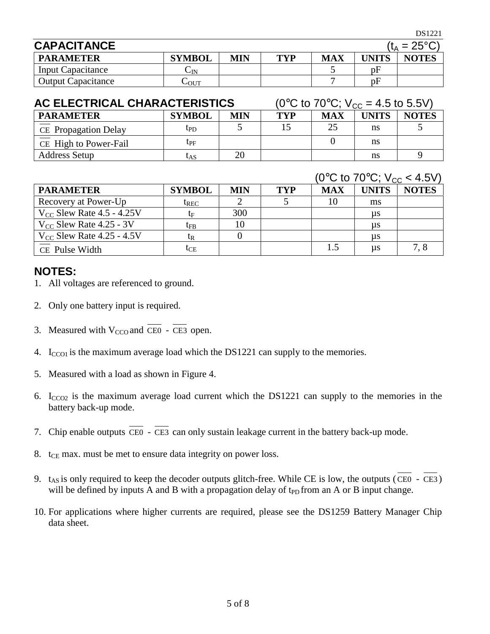DS1221

| <b>CAPACITANCE</b>        |                    |            |     |            |              | $(t_A = 25^{\circ}C)$ |
|---------------------------|--------------------|------------|-----|------------|--------------|-----------------------|
| <b>PARAMETER</b>          | <b>SYMBOL</b>      | <b>MIN</b> | TYP | <b>MAX</b> | <b>UNITS</b> | <b>NOTES</b>          |
| <b>Input Capacitance</b>  | $\mathsf{\cup IN}$ |            |     |            | pF           |                       |
| <b>Output Capacitance</b> | $-$ OUT            |            |     |            | pF           |                       |

| AC ELECTRICAL CHARACTERISTICS | (0 <sup>o</sup> C to 70 <sup>o</sup> C; $V_{\text{cc}} = 4.5$ to 5.5V) |            |     |            |              |              |
|-------------------------------|------------------------------------------------------------------------|------------|-----|------------|--------------|--------------|
| <b>PARAMETER</b>              | <b>SYMBOL</b>                                                          | <b>MIN</b> | TYP | <b>MAX</b> | <b>UNITS</b> | <b>NOTES</b> |
| CE Propagation Delay          | tp <sub>D</sub>                                                        |            |     | 25         | ns           |              |
| CE High to Power-Fail         | $t_{\rm PF}$                                                           |            |     |            | ns           |              |
| <b>Address Setup</b>          | UAS                                                                    | 20         |     |            | ns           |              |

#### $(0^{\circ}$ C to  $70^{\circ}$ C;  $V_{\text{cc}} < 4.5$ V)

|                                |               |            |     |     | $\sim$ 0 $\sim$ 10 $\sim$ 0, $\sim$ 1.0 $\sim$ |              |
|--------------------------------|---------------|------------|-----|-----|------------------------------------------------|--------------|
| <b>PARAMETER</b>               | <b>SYMBOL</b> | <b>MIN</b> | TYP | MAX | <b>UNITS</b>                                   | <b>NOTES</b> |
| Recovery at Power-Up           | $t_{REC}$     |            |     |     | ms                                             |              |
| $V_{CC}$ Slew Rate 4.5 - 4.25V | te            | 300        |     |     | $\mu s$                                        |              |
| $V_{CC}$ Slew Rate 4.25 - 3V   | $t_{FB}$      | 10         |     |     | $\mu s$                                        |              |
| $V_{CC}$ Slew Rate 4.25 - 4.5V | tr            |            |     |     | $\mu s$                                        |              |
| CE Pulse Width                 | tce           |            |     | 1.5 | $\mu s$                                        | 7.8          |

#### **NOTES:**

- 1. All voltages are referenced to ground.
- 2. Only one battery input is required.
- 3. Measured with  $V_{CCO}$  and CE0 CE3 open.
- 4.  $I_{CCO1}$  is the maximum average load which the DS1221 can supply to the memories.
- 5. Measured with a load as shown in Figure 4.
- 6.  $I_{CCO2}$  is the maximum average load current which the DS1221 can supply to the memories in the battery back-up mode.
- 7. Chip enable outputs CE0 CE3 can only sustain leakage current in the battery back-up mode.
- 8.  $t_{CE}$  max. must be met to ensure data integrity on power loss.
- 9.  $t_{AS}$  is only required to keep the decoder outputs glitch-free. While CE is low, the outputs (CE0 CE3) will be defined by inputs A and B with a propagation delay of  $t_{PD}$  from an A or B input change.
- 10. For applications where higher currents are required, please see the DS1259 Battery Manager Chip data sheet.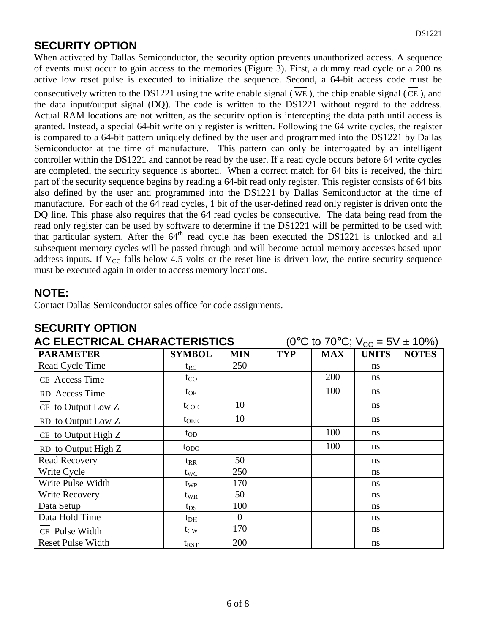## **SECURITY OPTION**

When activated by Dallas Semiconductor, the security option prevents unauthorized access. A sequence of events must occur to gain access to the memories (Figure 3). First, a dummy read cycle or a 200 ns active low reset pulse is executed to initialize the sequence. Second, a 64-bit access code must be consecutively written to the DS1221 using the write enable signal ( WE ), the chip enable signal ( CE ), and the data input/output signal (DQ). The code is written to the DS1221 without regard to the address. Actual RAM locations are not written, as the security option is intercepting the data path until access is granted. Instead, a special 64-bit write only register is written. Following the 64 write cycles, the register is compared to a 64-bit pattern uniquely defined by the user and programmed into the DS1221 by Dallas Semiconductor at the time of manufacture. This pattern can only be interrogated by an intelligent controller within the DS1221 and cannot be read by the user. If a read cycle occurs before 64 write cycles are completed, the security sequence is aborted. When a correct match for 64 bits is received, the third part of the security sequence begins by reading a 64-bit read only register. This register consists of 64 bits also defined by the user and programmed into the DS1221 by Dallas Semiconductor at the time of manufacture. For each of the 64 read cycles, 1 bit of the user-defined read only register is driven onto the DQ line. This phase also requires that the 64 read cycles be consecutive. The data being read from the read only register can be used by software to determine if the DS1221 will be permitted to be used with that particular system. After the 64<sup>th</sup> read cycle has been executed the DS1221 is unlocked and all subsequent memory cycles will be passed through and will become actual memory accesses based upon address inputs. If  $V_{CC}$  falls below 4.5 volts or the reset line is driven low, the entire security sequence must be executed again in order to access memory locations.

### **NOTE:**

Contact Dallas Semiconductor sales office for code assignments.

| AC ELECTRICAL CHARACTERISTICS | (0°C to 70°C; $V_{CC} = 5V \pm 10\%$ ) |            |            |            |               |              |
|-------------------------------|----------------------------------------|------------|------------|------------|---------------|--------------|
| <b>PARAMETER</b>              | <b>SYMBOL</b>                          | <b>MIN</b> | <b>TYP</b> | <b>MAX</b> | <b>UNITS</b>  | <b>NOTES</b> |
| Read Cycle Time               | ${\rm t_{RC}}$                         | 250        |            |            | ns            |              |
| CE Access Time                | $t_{\rm CO}$                           |            |            | 200        | ns            |              |
| RD Access Time                | $t_{OE}$                               |            |            | 100        | <sub>ns</sub> |              |
| CE to Output Low Z            | $t_{COE}$                              | 10         |            |            | <sub>ns</sub> |              |
| RD to Output Low Z            | $t_{\rm OEE}$                          | 10         |            |            | ns            |              |
| CE to Output High Z           | $t_{OD}$                               |            |            | 100        | ns            |              |
| RD to Output High Z           | $t_{ODO}$                              |            |            | 100        | ns            |              |
| <b>Read Recovery</b>          | $\mathfrak{t}_{\mathsf{RR}}$           | 50         |            |            | ns            |              |
| Write Cycle                   | $t_{\text{WC}}$                        | 250        |            |            | <sub>ns</sub> |              |
| Write Pulse Width             | t <sub>WP</sub>                        | 170        |            |            | ns            |              |
| Write Recovery                | t <sub>WR</sub>                        | 50         |            |            | ns            |              |
| Data Setup                    | $t_{DS}$                               | 100        |            |            | <sub>ns</sub> |              |
| Data Hold Time                | $t_{\rm DH}$                           | $\theta$   |            |            | ns            |              |
| CE Pulse Width                | $t_{\text{CW}}$                        | 170        |            |            | ns            |              |
| <b>Reset Pulse Width</b>      | $t_{\rm RST}$                          | 200        |            |            | ns            |              |

# **SECURITY OPTION**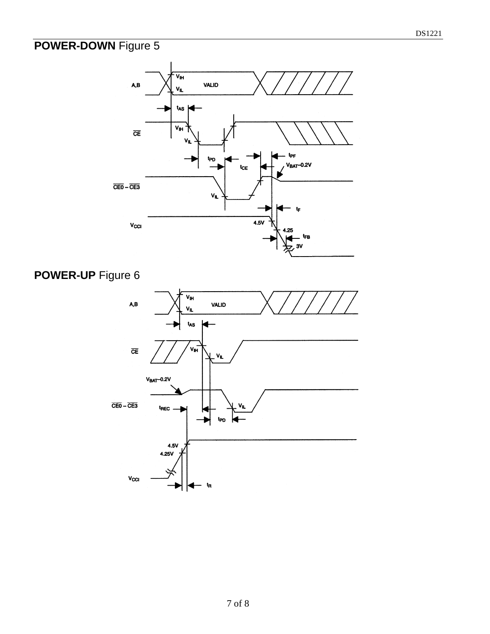# **POWER-DOWN** Figure 5



# **POWER-UP** Figure 6